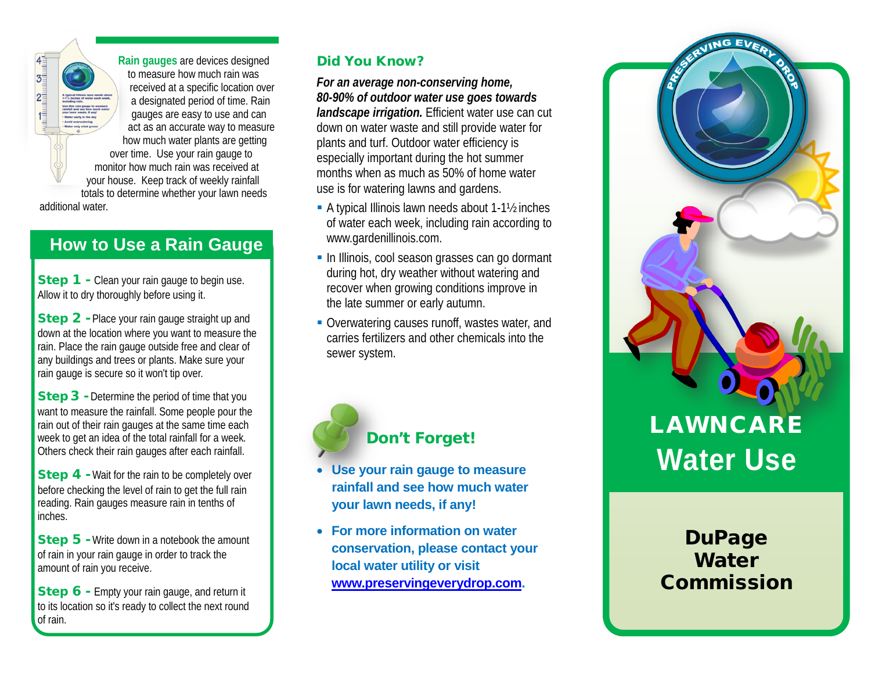**Rain gauges** are devices designed to measure how much rain was received at a specific location over a designated period of time. Rain gauges are easy to use and can act as an accurate way to measure how much water plants are getting over time. Use your rain gauge to monitor how much rain was received at your house. Keep track of weekly rainfall totals to determine whether your lawn needs

additional water.

 $\begin{array}{c}\n 4 \\
\hline\n 3 \\
\hline\n 5\n \end{array}$ 

 $2\frac{1}{2}$ 

# **How to Use a Rain Gauge**

**Step 1** - Clean your rain gauge to begin use. Allow it to dry thoroughly before using it.

Step 2 - Place your rain gauge straight up and down at the location where you want to measure the rain. Place the rain gauge outside free and clear of any buildings and trees or plants. Make sure your rain gauge is secure so it won't tip over.

**Step 3** - Determine the period of time that you want to measure the rainfall. Some people pour the rain out of their rain gauges at the same time each week to get an idea of the total rainfall for a week. Others check their rain gauges after each rainfall.

Step 4 - Wait for the rain to be completely over before checking the level of rain to get the full rain reading. Rain gauges measure rain in tenths of inches.

Step 5 - Write down in a notebook the amount of rain in your rain gauge in order to track the amount of rain you receive.

Step 6 - Empty your rain gauge, and return it to its location so it's ready to collect the next round of rain.

### Did You Know?

*For an average non-conserving home, 80-90% of outdoor water use goes towards landscape irrigation.* Efficient water use can cut down on water waste and still provide water for plants and turf. Outdoor water efficiency is especially important during the hot summer months when as much as 50% of home water use is for watering lawns and gardens.

- A typical Illinois lawn needs about 1-1½ inches of water each week, including rain according to www.gardenillinois.com.
- **In Illinois, cool season grasses can go dormant** during hot, dry weather without watering and recover when growing conditions improve in the late summer or early autumn.
- Overwatering causes runoff, wastes water, and carries fertilizers and other chemicals into the sewer system.



## Don't Forget!

- **Use your rain gauge to measure rainfall and see how much water your lawn needs, if any!**
- **For more information on water conservation, please contact your local water utility or visit [www.preservingeverydrop.com.](http://www.preservingeverydrop.com/)**

# LAWNCARE **Water Use**

**DuPage** Water Commission